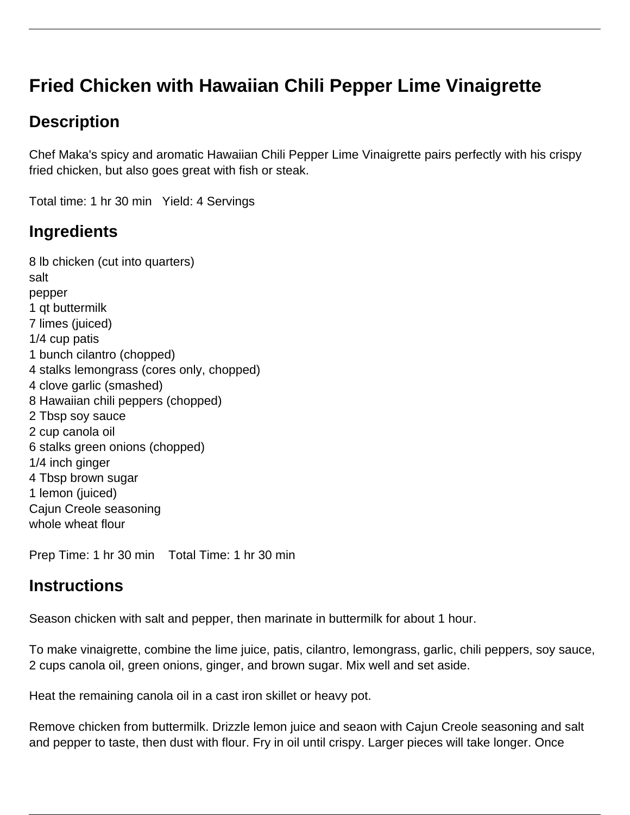# **Fried Chicken with Hawaiian Chili Pepper Lime Vinaigrette**

# **Description**

Chef Maka's spicy and aromatic Hawaiian Chili Pepper Lime Vinaigrette pairs perfectly with his crispy fried chicken, but also goes great with fish or steak.

Total time: 1 hr 30 min Yield: 4 Servings

# **Ingredients**

8 lb chicken (cut into quarters) salt pepper 1 qt buttermilk 7 limes (juiced) 1/4 cup patis 1 bunch cilantro (chopped) 4 stalks lemongrass (cores only, chopped) 4 clove garlic (smashed) 8 Hawaiian chili peppers (chopped) 2 Tbsp soy sauce 2 cup canola oil 6 stalks green onions (chopped) 1/4 inch ginger 4 Tbsp brown sugar 1 lemon (juiced) Cajun Creole seasoning whole wheat flour

Prep Time: 1 hr 30 min Total Time: 1 hr 30 min

### **Instructions**

Season chicken with salt and pepper, then marinate in buttermilk for about 1 hour.

To make vinaigrette, combine the lime juice, patis, cilantro, lemongrass, garlic, chili peppers, soy sauce, 2 cups canola oil, green onions, ginger, and brown sugar. Mix well and set aside.

Heat the remaining canola oil in a cast iron skillet or heavy pot.

Remove chicken from buttermilk. Drizzle lemon juice and seaon with Cajun Creole seasoning and salt and pepper to taste, then dust with flour. Fry in oil until crispy. Larger pieces will take longer. Once